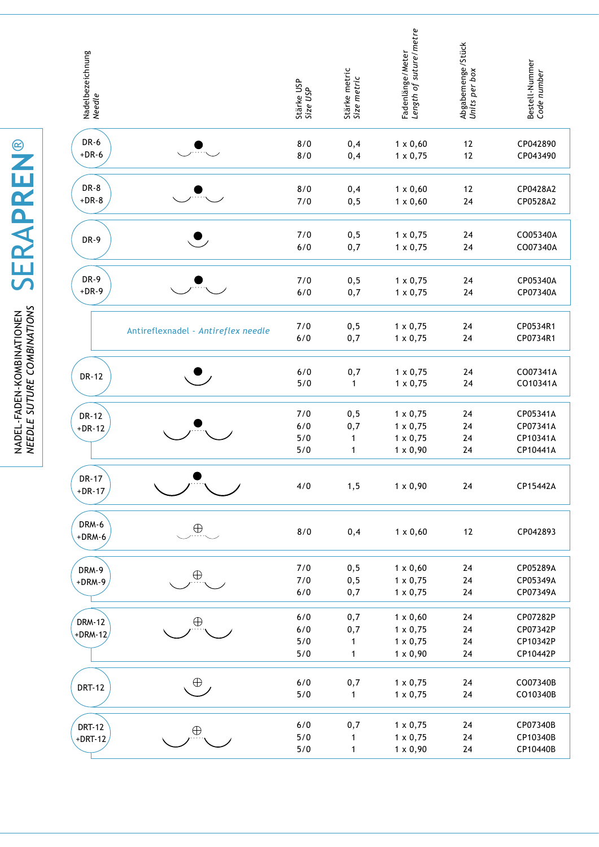| Nadelbezeichnung<br><i>Needle</i> |                                     | Stärke USP<br>Size USP       | Stärke metric<br>Size metric | Fadenlänge/Meter<br><i>Length of suture/metre</i>                        | Abgabemenge/Stück<br>Units per box | Bestell-Nummer<br>Code number                |
|-----------------------------------|-------------------------------------|------------------------------|------------------------------|--------------------------------------------------------------------------|------------------------------------|----------------------------------------------|
| <b>DR-6</b><br>$+DR-6$            |                                     | 8/0<br>8/0                   | 0,4<br>0,4                   | $1 \times 0,60$<br>$1 \times 0,75$                                       | 12<br>12                           | CP042890<br>CP043490                         |
| DR-8<br>$+DR-8$                   |                                     | 8/0<br>7/0                   | 0,4<br>0, 5                  | $1 \times 0,60$<br>$1 \times 0,60$                                       | 12<br>24                           | CP0428A2<br>CP0528A2                         |
| DR-9                              |                                     | 7/0<br>6/0                   | 0, 5<br>0,7                  | $1 \times 0,75$<br>$1 \times 0,75$                                       | 24<br>24                           | CO05340A<br>CO07340A                         |
| DR-9<br>$+DR-9$                   |                                     | 7/0<br>6/0                   | 0, 5<br>0,7                  | $1 \times 0,75$<br>$1 \times 0,75$                                       | 24<br>24                           | CP05340A<br>CP07340A                         |
|                                   | Antireflexnadel - Antireflex needle | 7/0<br>6/0                   | 0, 5<br>0,7                  | $1 \times 0,75$<br>$1 \times 0,75$                                       | 24<br>24                           | CP0534R1<br>CP0734R1                         |
| <b>DR-12</b>                      |                                     | 6/0<br>5/0                   | 0,7<br>1                     | $1 \times 0,75$<br>$1 \times 0,75$                                       | 24<br>24                           | CO07341A<br>CO10341A                         |
| <b>DR-12</b><br>$+DR-12$          |                                     | 7/0<br>6/0<br>5/0<br>5/0     | 0, 5<br>0,7<br>1<br>1        | $1 \times 0,75$<br>$1 \times 0,75$<br>$1 \times 0,75$<br>$1 \times 0,90$ | 24<br>24<br>24<br>24               | CP05341A<br>CP07341A<br>CP10341A<br>CP10441A |
| <b>DR-17</b><br>$+DR-17$          |                                     | 4/0                          | 1, 5                         | $1 \times 0,90$                                                          | 24                                 | CP15442A                                     |
| DRM-6<br>$+DRM-6$                 | $\bigoplus$                         | 8/0                          | 0,4                          | $1 \times 0,60$                                                          | $12$                               | CP042893                                     |
| DRM-9<br>+DRM-9                   | $\oplus$                            | 7/0<br>7/0<br>$6/0$          | 0, 5<br>0, 5<br>0,7          | $1 \times 0,60$<br>$1 \times 0,75$<br>$1 \times 0,75$                    | 24<br>$24\,$<br>24                 | CP05289A<br>CP05349A<br>CP07349A             |
| <b>DRM-12</b><br>$+DRM-12/$       | $\oplus$                            | $6/0$<br>$6/0$<br>5/0<br>5/0 | 0,7<br>0,7<br>1<br>1         | $1 \times 0,60$<br>$1 \times 0,75$<br>$1 \times 0,75$<br>$1 \times 0,90$ | 24<br>24<br>24<br>24               | CP07282P<br>CP07342P<br>CP10342P<br>CP10442P |
| <b>DRT-12</b>                     | $\oplus$                            | $6/0$<br>$5/0$               | 0,7<br>1                     | $1 \times 0,75$<br>$1 \times 0,75$                                       | 24<br>24                           | CO07340B<br>CO10340B                         |
| <b>DRT-12</b><br>$+$ DRT-12       | $\oplus$                            | $6/0$<br>5/0<br>$5/0$        | 0,7<br>1<br>$\mathbf{1}$     | $1 \times 0,75$<br>$1 \times 0,75$<br>$1 \times 0,90$                    | 24<br>24<br>24                     | CP07340B<br>CP10340B<br>CP10440B             |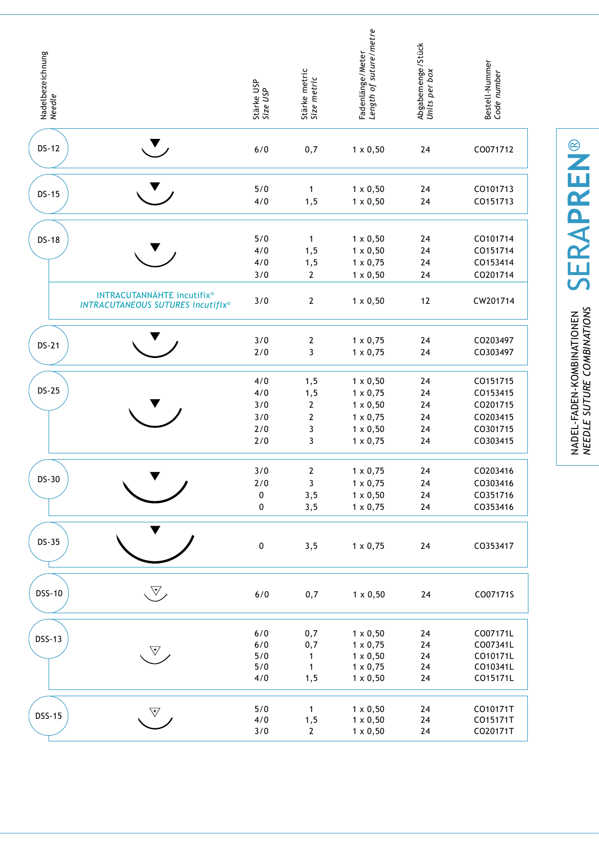| Nadelbezeichnung<br><i>Needle</i> |                                                                        | Stärke USP<br>Size USP                 | Stärke metric<br>Size metric                                | Fadenlänge/Meter<br><i>Length of suture/metre</i>                                                              | Abgabemenge/Stück<br>Units per box | Bestell-Nummer<br>Code number                                        |
|-----------------------------------|------------------------------------------------------------------------|----------------------------------------|-------------------------------------------------------------|----------------------------------------------------------------------------------------------------------------|------------------------------------|----------------------------------------------------------------------|
| <b>DS-12</b>                      |                                                                        | $6/0$                                  | 0,7                                                         | $1 \times 0,50$                                                                                                | 24                                 | CO071712                                                             |
| <b>DS-15</b>                      |                                                                        | 5/0<br>4/0                             | $\mathbf{1}$<br>1, 5                                        | $1 \times 0,50$<br>$1 \times 0,50$                                                                             | 24<br>$24\,$                       | CO101713<br>CO151713                                                 |
| <b>DS-18</b>                      | INTRACUTANNÄHTE incutifix®<br><b>INTRACUTANEOUS SUTURES incutifix®</b> | 5/0<br>4/0<br>4/0<br>3/0<br>3/0        | $\mathbf{1}$<br>1, 5<br>1,5<br>$\mathbf{2}$<br>$\mathbf{2}$ | $1 \times 0,50$<br>$1 \times 0,50$<br>$1 \times 0,75$<br>$1 \times 0,50$<br>$1 \times 0,50$                    | 24<br>24<br>$24\,$<br>24<br>12     | CO101714<br>CO151714<br>CO153414<br>CO201714<br>CW201714             |
| <b>DS-21</b>                      |                                                                        | 3/0<br>2/0                             | $\boldsymbol{2}$<br>3                                       | $1 \times 0,75$<br>$1 \times 0,75$                                                                             | 24<br>24                           | CO203497<br>CO303497                                                 |
| <b>DS-25</b>                      |                                                                        | 4/0<br>4/0<br>3/0<br>3/0<br>2/0<br>2/0 | 1, 5<br>1,5<br>$\mathbf 2$<br>$\mathbf{2}$<br>3<br>3        | $1 \times 0,50$<br>$1 \times 0,75$<br>$1 \times 0,50$<br>$1 \times 0,75$<br>$1 \times 0,50$<br>$1 \times 0,75$ | 24<br>24<br>24<br>24<br>24<br>24   | CO151715<br>CO153415<br>CO201715<br>CO203415<br>CO301715<br>CO303415 |
| DS-30                             |                                                                        | 3/0<br>$2/0$<br>$\pmb{0}$<br>$\pmb{0}$ | $\mathbf{2}$<br>$\mathbf{3}$<br>3, 5<br>3,5                 | $1 \times 0,75$<br>$1 \times 0,75$<br>$1 \times 0,50$<br>$1 \times 0,75$                                       | 24<br>24<br>24<br>24               | CO203416<br>CO303416<br>CO351716<br>CO353416                         |
| <b>DS-35</b>                      |                                                                        | $\pmb{0}$                              | 3,5                                                         | $1 \times 0,75$                                                                                                | 24                                 | CO353417                                                             |
| <b>DSS-10</b>                     | $\mathbb{V}_{\!\scriptscriptstyle\diagup}$                             | 6/0                                    | 0,7                                                         | $1 \times 0,50$                                                                                                | $24\,$                             | CO07171S                                                             |
| <b>DSS-13</b>                     | $\nabla$ ,                                                             | $6/0$<br>6/0<br>5/0<br>5/0<br>4/0      | 0,7<br>0,7<br>1<br>$\mathbf{1}$<br>1, 5                     | $1 \times 0,50$<br>$1 \times 0,75$<br>$1 \times 0,50$<br>$1 \times 0,75$<br>$1 \times 0,50$                    | 24<br>24<br>24<br>24<br>24         | CO07171L<br>CO07341L<br>CO10171L<br>CO10341L<br>CO15171L             |
| <b>DSS-15</b>                     | $\triangledown$                                                        | $5/0$<br>4/0<br>3/0                    | $\mathbf{1}$<br>1, 5<br>$\mathbf{2}$                        | $1 \times 0,50$<br>$1 \times 0,50$<br>$1 \times 0,50$                                                          | 24<br>24<br>24                     | CO10171T<br>CO15171T<br>CO20171T                                     |

**SERAPREN®** SERA**pren**® NADEL-FADEN-KOMBINATIONEN<br>*NEEDLE SUTURE COMBINATIONS needle suture combinations*

nadel-faden-kombinationen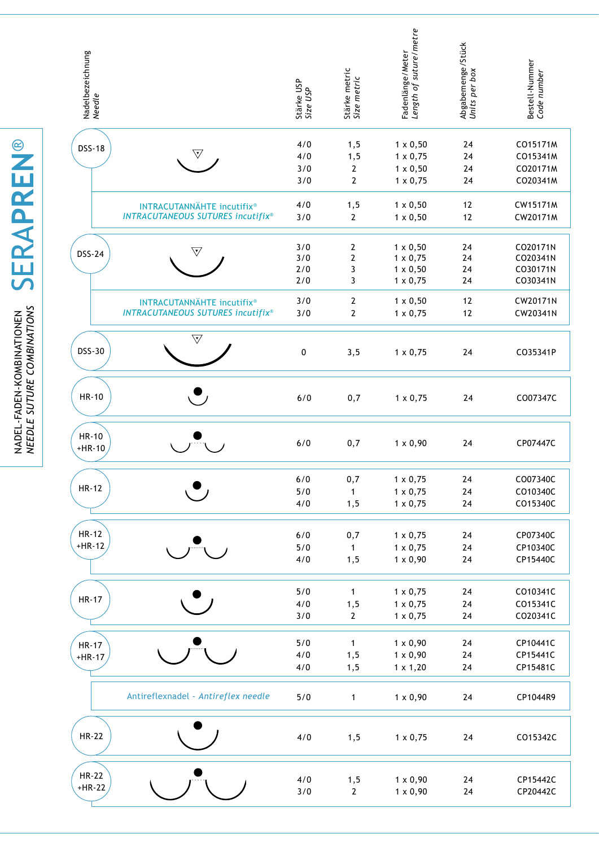| Nadelbezeichnung<br><i>Needle</i> |                                                                        | Stärke USP<br>Size USP          | Stärke metric<br>Size metric                 | Length of suture/metre<br>Fadenlänge/Meter                                                  | Abgabemenge/Stück<br>Units per box | Bestell-Nummer<br>Code number                            |
|-----------------------------------|------------------------------------------------------------------------|---------------------------------|----------------------------------------------|---------------------------------------------------------------------------------------------|------------------------------------|----------------------------------------------------------|
| <b>DSS-18</b>                     | $\triangledown$                                                        | 4/0<br>4/0<br>3/0<br>3/0        | 1, 5<br>1, 5<br>$\mathbf{2}$<br>$\mathbf{2}$ | $1 \times 0,50$<br>$1 \times 0,75$<br>$1 \times 0,50$<br>$1 \times 0,75$                    | 24<br>24<br>24<br>24               | CO15171M<br>CO15341M<br>CO20171M<br>CO20341M             |
|                                   | INTRACUTANNÄHTE incutifix®<br><b>INTRACUTANEOUS SUTURES incutifix®</b> | 4/0<br>3/0                      | 1, 5<br>$\overline{2}$                       | $1 \times 0,50$<br>$1 \times 0,50$                                                          | 12<br>12                           | CW15171M<br>CW20171M                                     |
| <b>DSS-24</b>                     | $\forall$<br>INTRACUTANNÄHTE incutifix®                                | 3/0<br>3/0<br>2/0<br>2/0<br>3/0 | 2<br>$\mathbf{2}$<br>3<br>3<br>2             | $1 \times 0,50$<br>$1 \times 0,75$<br>$1 \times 0,50$<br>$1 \times 0,75$<br>$1 \times 0,50$ | 24<br>24<br>24<br>24<br>12         | CO20171N<br>CO20341N<br>CO30171N<br>CO30341N<br>CW20171N |
|                                   | <b>INTRACUTANEOUS SUTURES incutifix®</b>                               | 3/0                             | $\boldsymbol{2}$                             | $1 \times 0,75$                                                                             | 12                                 | CW20341N                                                 |
| <b>DSS-30</b>                     | $\overline{\mathbb{V}}$                                                | 0                               | 3, 5                                         | $1 \times 0,75$                                                                             | 24                                 | CO35341P                                                 |
| <b>HR-10</b>                      |                                                                        | 6/0                             | 0,7                                          | $1 \times 0,75$                                                                             | 24                                 | CO07347C                                                 |
| <b>HR-10</b><br>$+HR-10$          |                                                                        | 6/0                             | 0,7                                          | $1 \times 0,90$                                                                             | 24                                 | CP07447C                                                 |
| $HR-12$                           |                                                                        | $6/0$<br>5/0<br>4/0             | 0,7<br>$\mathbf{1}$<br>1, 5                  | $1 \times 0,75$<br>$1 \times 0,75$<br>$1 \times 0,75$                                       | $24\,$<br>24<br>24                 | CO07340C<br>CO10340C<br>CO15340C                         |
| $HR-12$<br>$+HR-12$               |                                                                        | $6/0$<br>$5/0$<br>4/0           | 0,7<br>1<br>1, 5                             | $1 \times 0,75$<br>$1 \times 0,75$<br>$1 \times 0,90$                                       | 24<br>$24\,$<br>24                 | CP07340C<br>CP10340C<br>CP15440C                         |
| <b>HR-17</b>                      |                                                                        | $5/0$<br>4/0<br>3/0             | 1<br>1, 5<br>$\mathbf{2}$                    | $1 \times 0,75$<br>$1 \times 0,75$<br>$1 \times 0,75$                                       | 24<br>$24\,$<br>24                 | CO10341C<br>CO15341C<br>CO20341C                         |
| <b>HR-17</b><br>$+HR-17$          |                                                                        | 5/0<br>4/0<br>4/0               | 1<br>1, 5<br>1, 5                            | $1 \times 0,90$<br>$1 \times 0,90$<br>$1 \times 1,20$                                       | 24<br>$24\,$<br>24                 | CP10441C<br>CP15441C<br>CP15481C                         |
|                                   | Antireflexnadel - Antireflex needle                                    | 5/0                             | $\mathbf{1}$                                 | $1 \times 0,90$                                                                             | 24                                 | CP1044R9                                                 |
| <b>HR-22</b>                      |                                                                        | 4/0                             | 1, 5                                         | $1 \times 0,75$                                                                             | 24                                 | CO15342C                                                 |
| <b>HR-22</b><br>$+HR-22$          |                                                                        | 4/0<br>3/0                      | 1, 5<br>$\mathbf{2}$                         | $1 \times 0,90$<br>$1 \times 0,90$                                                          | 24<br>24                           | CP15442C<br>CP20442C                                     |

NADEL-FADEN-KOMBINATIONEN SERAPREN<sup>®</sup> SERA**pren**® *needle suture combinations* nadel-faden-kombinationen